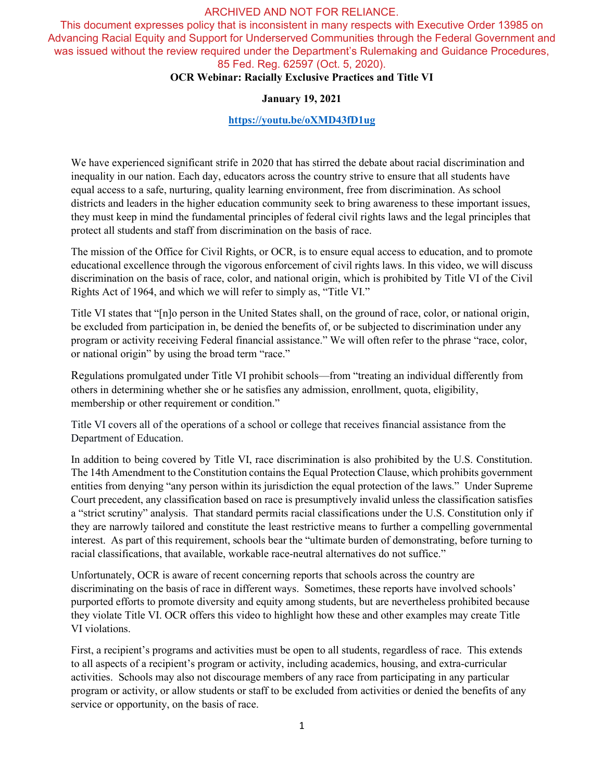This document expresses policy that is inconsistent in many respects with Executive Order 13985 on Advancing Racial Equity and Support for Underserved Communities through the Federal Government and was issued without the review required under the Department's Rulemaking and Guidance Procedures, 85 Fed. Reg. 62597 (Oct. 5, 2020).

# **OCR Webinar: Racially Exclusive Practices and Title VI**

#### **January 19, 2021**

# **<https://youtu.be/oXMD43fD1ug>**

We have experienced significant strife in 2020 that has stirred the debate about racial discrimination and inequality in our nation. Each day, educators across the country strive to ensure that all students have equal access to a safe, nurturing, quality learning environment, free from discrimination. As school districts and leaders in the higher education community seek to bring awareness to these important issues, they must keep in mind the fundamental principles of federal civil rights laws and the legal principles that protect all students and staff from discrimination on the basis of race.

The mission of the Office for Civil Rights, or OCR, is to ensure equal access to education, and to promote educational excellence through the vigorous enforcement of civil rights laws. In this video, we will discuss discrimination on the basis of race, color, and national origin, which is prohibited by Title VI of the Civil Rights Act of 1964, and which we will refer to simply as, "Title VI."

Title VI states that "[n]o person in the United States shall, on the ground of race, color, or national origin, be excluded from participation in, be denied the benefits of, or be subjected to discrimination under any program or activity receiving Federal financial assistance." We will often refer to the phrase "race, color, or national origin" by using the broad term "race."

Regulations promulgated under Title VI prohibit schools—from "treating an individual differently from others in determining whether she or he satisfies any admission, enrollment, quota, eligibility, membership or other requirement or condition."

Title VI covers all of the operations of a school or college that receives financial assistance from the Department of Education.

In addition to being covered by Title VI, race discrimination is also prohibited by the U.S. Constitution. The 14th Amendment to the Constitution contains the Equal Protection Clause, which prohibits government entities from denying "any person within its jurisdiction the equal protection of the laws." Under Supreme Court precedent, any classification based on race is presumptively invalid unless the classification satisfies a "strict scrutiny" analysis. That standard permits racial classifications under the U.S. Constitution only if they are narrowly tailored and constitute the least restrictive means to further a compelling governmental interest. As part of this requirement, schools bear the "ultimate burden of demonstrating, before turning to racial classifications, that available, workable race-neutral alternatives do not suffice."

Unfortunately, OCR is aware of recent concerning reports that schools across the country are discriminating on the basis of race in different ways. Sometimes, these reports have involved schools' purported efforts to promote diversity and equity among students, but are nevertheless prohibited because they violate Title VI. OCR offers this video to highlight how these and other examples may create Title VI violations.

First, a recipient's programs and activities must be open to all students, regardless of race. This extends to all aspects of a recipient's program or activity, including academics, housing, and extra-curricular activities. Schools may also not discourage members of any race from participating in any particular program or activity, or allow students or staff to be excluded from activities or denied the benefits of any service or opportunity, on the basis of race.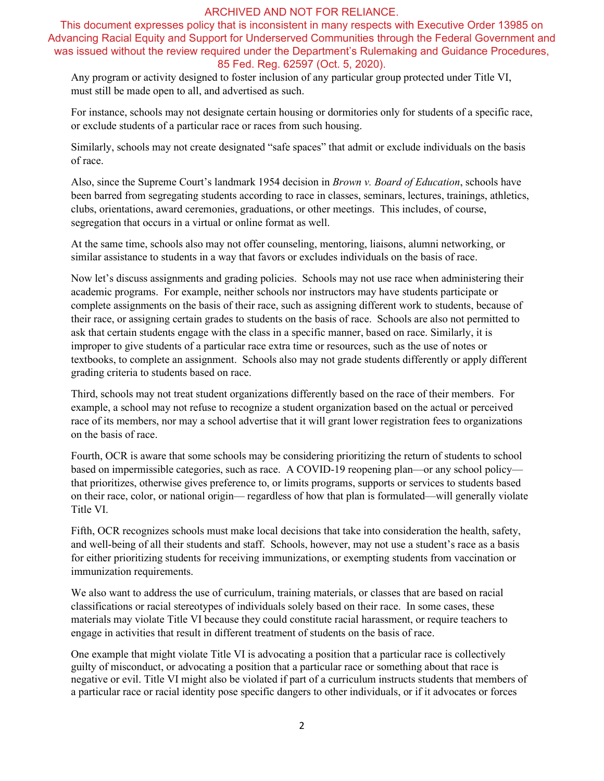This document expresses policy that is inconsistent in many respects with Executive Order 13985 on Advancing Racial Equity and Support for Underserved Communities through the Federal Government and was issued without the review required under the Department's Rulemaking and Guidance Procedures, 85 Fed. Reg. 62597 (Oct. 5, 2020).

Any program or activity designed to foster inclusion of any particular group protected under Title VI, must still be made open to all, and advertised as such.

For instance, schools may not designate certain housing or dormitories only for students of a specific race, or exclude students of a particular race or races from such housing.

Similarly, schools may not create designated "safe spaces" that admit or exclude individuals on the basis of race.

Also, since the Supreme Court's landmark 1954 decision in *Brown v. Board of Education*, schools have been barred from segregating students according to race in classes, seminars, lectures, trainings, athletics, clubs, orientations, award ceremonies, graduations, or other meetings. This includes, of course, segregation that occurs in a virtual or online format as well.

At the same time, schools also may not offer counseling, mentoring, liaisons, alumni networking, or similar assistance to students in a way that favors or excludes individuals on the basis of race.

Now let's discuss assignments and grading policies. Schools may not use race when administering their academic programs. For example, neither schools nor instructors may have students participate or complete assignments on the basis of their race, such as assigning different work to students, because of their race, or assigning certain grades to students on the basis of race. Schools are also not permitted to ask that certain students engage with the class in a specific manner, based on race. Similarly, it is improper to give students of a particular race extra time or resources, such as the use of notes or textbooks, to complete an assignment. Schools also may not grade students differently or apply different grading criteria to students based on race.

Third, schools may not treat student organizations differently based on the race of their members. For example, a school may not refuse to recognize a student organization based on the actual or perceived race of its members, nor may a school advertise that it will grant lower registration fees to organizations on the basis of race.

Fourth, OCR is aware that some schools may be considering prioritizing the return of students to school based on impermissible categories, such as race. A COVID-19 reopening plan—or any school policy that prioritizes, otherwise gives preference to, or limits programs, supports or services to students based on their race, color, or national origin— regardless of how that plan is formulated—will generally violate Title VI.

Fifth, OCR recognizes schools must make local decisions that take into consideration the health, safety, and well-being of all their students and staff. Schools, however, may not use a student's race as a basis for either prioritizing students for receiving immunizations, or exempting students from vaccination or immunization requirements.

We also want to address the use of curriculum, training materials, or classes that are based on racial classifications or racial stereotypes of individuals solely based on their race. In some cases, these materials may violate Title VI because they could constitute racial harassment, or require teachers to engage in activities that result in different treatment of students on the basis of race.

One example that might violate Title VI is advocating a position that a particular race is collectively guilty of misconduct, or advocating a position that a particular race or something about that race is negative or evil. Title VI might also be violated if part of a curriculum instructs students that members of a particular race or racial identity pose specific dangers to other individuals, or if it advocates or forces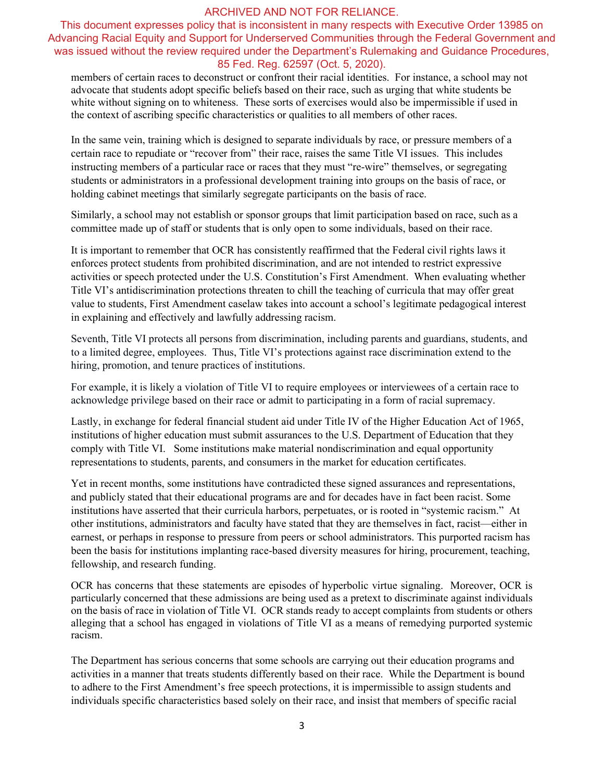This document expresses policy that is inconsistent in many respects with Executive Order 13985 on Advancing Racial Equity and Support for Underserved Communities through the Federal Government and was issued without the review required under the Department's Rulemaking and Guidance Procedures, 85 Fed. Reg. 62597 (Oct. 5, 2020).

members of certain races to deconstruct or confront their racial identities. For instance, a school may not advocate that students adopt specific beliefs based on their race, such as urging that white students be white without signing on to whiteness. These sorts of exercises would also be impermissible if used in the context of ascribing specific characteristics or qualities to all members of other races.

In the same vein, training which is designed to separate individuals by race, or pressure members of a certain race to repudiate or "recover from" their race, raises the same Title VI issues. This includes instructing members of a particular race or races that they must "re-wire" themselves, or segregating students or administrators in a professional development training into groups on the basis of race, or holding cabinet meetings that similarly segregate participants on the basis of race.

Similarly, a school may not establish or sponsor groups that limit participation based on race, such as a committee made up of staff or students that is only open to some individuals, based on their race.

It is important to remember that OCR has consistently reaffirmed that the Federal civil rights laws it enforces protect students from prohibited discrimination, and are not intended to restrict expressive activities or speech protected under the U.S. Constitution's First Amendment. When evaluating whether Title VI's antidiscrimination protections threaten to chill the teaching of curricula that may offer great value to students, First Amendment caselaw takes into account a school's legitimate pedagogical interest in explaining and effectively and lawfully addressing racism.

Seventh, Title VI protects all persons from discrimination, including parents and guardians, students, and to a limited degree, employees. Thus, Title VI's protections against race discrimination extend to the hiring, promotion, and tenure practices of institutions.

For example, it is likely a violation of Title VI to require employees or interviewees of a certain race to acknowledge privilege based on their race or admit to participating in a form of racial supremacy.

Lastly, in exchange for federal financial student aid under Title IV of the Higher Education Act of 1965, institutions of higher education must submit assurances to the U.S. Department of Education that they comply with Title VI. Some institutions make material nondiscrimination and equal opportunity representations to students, parents, and consumers in the market for education certificates.

Yet in recent months, some institutions have contradicted these signed assurances and representations, and publicly stated that their educational programs are and for decades have in fact been racist. Some institutions have asserted that their curricula harbors, perpetuates, or is rooted in "systemic racism." At other institutions, administrators and faculty have stated that they are themselves in fact, racist—either in earnest, or perhaps in response to pressure from peers or school administrators. This purported racism has been the basis for institutions implanting race-based diversity measures for hiring, procurement, teaching, fellowship, and research funding.

OCR has concerns that these statements are episodes of hyperbolic virtue signaling. Moreover, OCR is particularly concerned that these admissions are being used as a pretext to discriminate against individuals on the basis of race in violation of Title VI. OCR stands ready to accept complaints from students or others alleging that a school has engaged in violations of Title VI as a means of remedying purported systemic racism.

The Department has serious concerns that some schools are carrying out their education programs and activities in a manner that treats students differently based on their race. While the Department is bound to adhere to the First Amendment's free speech protections, it is impermissible to assign students and individuals specific characteristics based solely on their race, and insist that members of specific racial